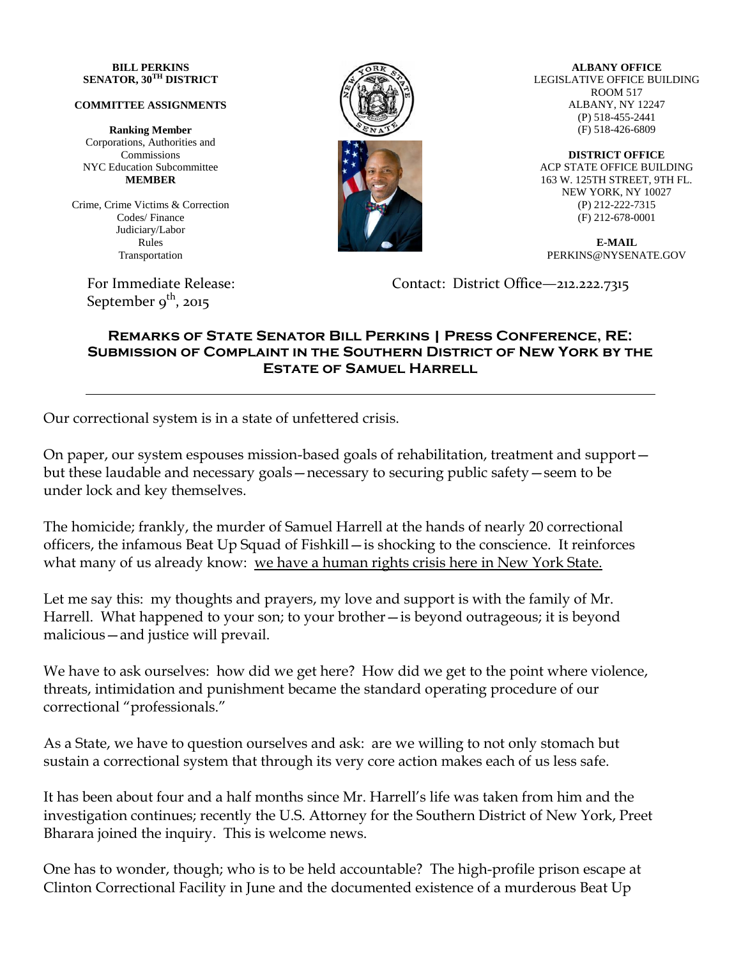## **BILL PERKINS SENATOR, 30TH DISTRICT**

## **COMMITTEE ASSIGNMENTS**

**Ranking Member** Corporations, Authorities and Commissions NYC Education Subcommittee **MEMBER**

Crime, Crime Victims & Correction Codes/ Finance Judiciary/Labor Rules Transportation

September  $9^{\text{th}}$ , 2015



**ALBANY OFFICE** LEGISLATIVE OFFICE BUILDING ROOM 517 ALBANY, NY 12247 (P) 518-455-2441 (F) 518-426-6809

**DISTRICT OFFICE** ACP STATE OFFICE BUILDING 163 W. 125TH STREET, 9TH FL. NEW YORK, NY 10027 (P) 212-222-7315 (F) 212-678-0001

**E-MAIL** PERKINS@NYSENATE.GOV

For Immediate Release: Contact: District Office—212.222.7315

## **Remarks of State Senator Bill Perkins | Press Conference, RE: Submission of Complaint in the Southern District of New York by the Estate of Samuel Harrell**

Our correctional system is in a state of unfettered crisis.

On paper, our system espouses mission-based goals of rehabilitation, treatment and support but these laudable and necessary goals—necessary to securing public safety—seem to be under lock and key themselves.

The homicide; frankly, the murder of Samuel Harrell at the hands of nearly 20 correctional officers, the infamous Beat Up Squad of Fishkill—is shocking to the conscience. It reinforces what many of us already know: we have a human rights crisis here in New York State.

Let me say this: my thoughts and prayers, my love and support is with the family of Mr. Harrell. What happened to your son; to your brother—is beyond outrageous; it is beyond malicious—and justice will prevail.

We have to ask ourselves: how did we get here? How did we get to the point where violence, threats, intimidation and punishment became the standard operating procedure of our correctional "professionals."

As a State, we have to question ourselves and ask: are we willing to not only stomach but sustain a correctional system that through its very core action makes each of us less safe.

It has been about four and a half months since Mr. Harrell's life was taken from him and the investigation continues; recently the U.S. Attorney for the Southern District of New York, Preet Bharara joined the inquiry. This is welcome news.

One has to wonder, though; who is to be held accountable? The high-profile prison escape at Clinton Correctional Facility in June and the documented existence of a murderous Beat Up